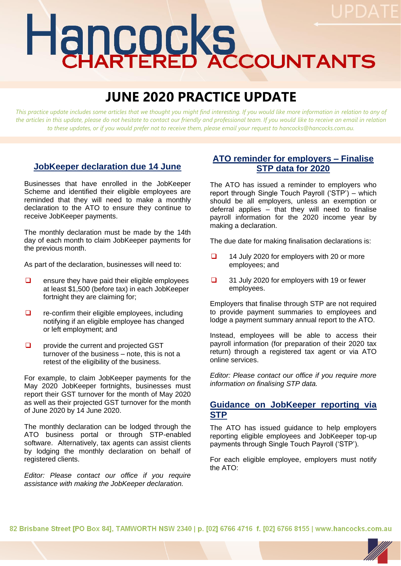# Hancocks

# **JUNE 2020 PRACTICE UPDATE**

*This practice update includes some articles that we thought you might find interesting. If you would like more information in relation to any of the articles in this update, please do not hesitate to contact our friendly and professional team. If you would like to receive an email in relation to these updates, or if you would prefer not to receive them, please email your request to hancocks@hancocks.com.au.* 

# **JobKeeper declaration due 14 June**

Businesses that have enrolled in the JobKeeper Scheme and identified their eligible employees are reminded that they will need to make a monthly declaration to the ATO to ensure they continue to receive JobKeeper payments.

The monthly declaration must be made by the 14th day of each month to claim JobKeeper payments for the previous month.

As part of the declaration, businesses will need to:

- $\Box$  ensure they have paid their eligible employees at least \$1,500 (before tax) in each JobKeeper fortnight they are claiming for;
- ❑ re-confirm their eligible employees, including notifying if an eligible employee has changed or left employment; and
- ❑ provide the current and projected GST turnover of the business – note, this is not a retest of the eligibility of the business.

For example, to claim JobKeeper payments for the May 2020 JobKeeper fortnights, businesses must report their GST turnover for the month of May 2020 as well as their projected GST turnover for the month of June 2020 by 14 June 2020.

The monthly declaration can be lodged through the ATO business portal or through STP-enabled software. Alternatively, tax agents can assist clients by lodging the monthly declaration on behalf of registered clients.

*Editor: Please contact our office if you require assistance with making the JobKeeper declaration.*

## **ATO reminder for employers – Finalise STP data for 2020**

The ATO has issued a reminder to employers who report through Single Touch Payroll ('STP') – which should be all employers, unless an exemption or deferral applies – that they will need to finalise payroll information for the 2020 income year by making a declaration.

The due date for making finalisation declarations is:

- ❑ 14 July 2020 for employers with 20 or more employees; and
- ❑ 31 July 2020 for employers with 19 or fewer employees.

Employers that finalise through STP are not required to provide payment summaries to employees and lodge a payment summary annual report to the ATO.

Instead, employees will be able to access their payroll information (for preparation of their 2020 tax return) through a registered tax agent or via ATO online services.

*Editor: Please contact our office if you require more information on finalising STP data.*

### **Guidance on JobKeeper reporting via STP**

The ATO has issued guidance to help employers reporting eligible employees and JobKeeper top-up payments through Single Touch Payroll ('STP').

For each eligible employee, employers must notify the ATO:

82 Brisbane Street [PO Box 84], TAMWORTH NSW 2340 | p. [02] 6766 4716 f. [02] 6766 8155 | www.hancocks.com.au